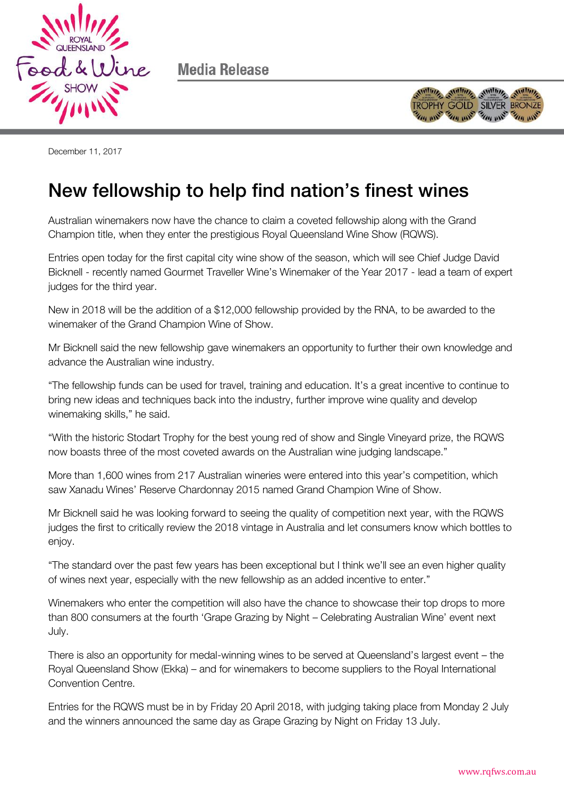

Media Release



December 11, 2017

## New fellowship to help find nation's finest wines

Australian winemakers now have the chance to claim a coveted fellowship along with the Grand Champion title, when they enter the prestigious Royal Queensland Wine Show (RQWS).

Entries open today for the first capital city wine show of the season, which will see Chief Judge David Bicknell - recently named Gourmet Traveller Wine's Winemaker of the Year 2017 - lead a team of expert judges for the third year.

New in 2018 will be the addition of a \$12,000 fellowship provided by the RNA, to be awarded to the winemaker of the Grand Champion Wine of Show.

Mr Bicknell said the new fellowship gave winemakers an opportunity to further their own knowledge and advance the Australian wine industry.

"The fellowship funds can be used for travel, training and education. It's a great incentive to continue to bring new ideas and techniques back into the industry, further improve wine quality and develop winemaking skills," he said.

"With the historic Stodart Trophy for the best young red of show and Single Vineyard prize, the RQWS now boasts three of the most coveted awards on the Australian wine judging landscape."

More than 1,600 wines from 217 Australian wineries were entered into this year's competition, which saw Xanadu Wines' Reserve Chardonnay 2015 named Grand Champion Wine of Show.

Mr Bicknell said he was looking forward to seeing the quality of competition next year, with the RQWS judges the first to critically review the 2018 vintage in Australia and let consumers know which bottles to enjoy.

"The standard over the past few years has been exceptional but I think we'll see an even higher quality of wines next year, especially with the new fellowship as an added incentive to enter."

Winemakers who enter the competition will also have the chance to showcase their top drops to more than 800 consumers at the fourth 'Grape Grazing by Night – Celebrating Australian Wine' event next July.

There is also an opportunity for medal-winning wines to be served at Queensland's largest event – the Royal Queensland Show (Ekka) – and for winemakers to become suppliers to the Royal International Convention Centre.

Entries for the RQWS must be in by Friday 20 April 2018, with judging taking place from Monday 2 July and the winners announced the same day as Grape Grazing by Night on Friday 13 July.